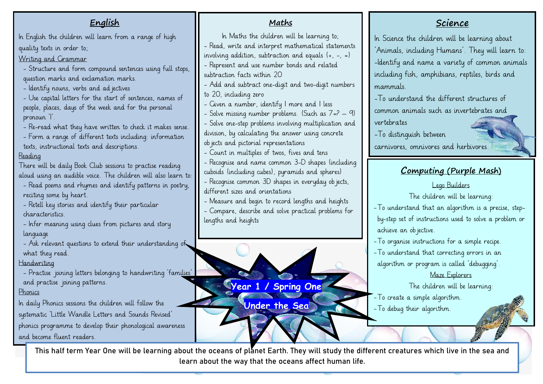#### **Science** In Science the children will be learning about 'Animals, including Humans'. They will learn to: -Identify and name a variety of common animals including fish, amphibians, reptiles, birds and mammals. -To understand the different structures of common animals such as invertebrates and vertebrates -To distinguish between carnivores, omnivores and herbivores. **Computing (Purple Mash)** Lego Builders The children will be learning: -To understand that an algorithm is a precise, stepby-step set of instructions used to solve a problem or achieve an objective. -To organise instructions for a simple recipe. -To understand that correcting errors in an algorithm or program is called 'debugging'. Maze Explorers The children will be learning: -To create a simple algorithm. -To debug their algorithm. - **English** In English the children will learn from a range of high quality texts in order to; Writing and Grammar - Structure and form compound sentences using full stops, question marks and exclamation marks. - Identify nouns, verbs and ad jectives - Use capital letters for the start of sentences, names of people, places, days of the week and for the personal pronoun 'I'. - Re-read what they have written to check it makes sense. - Form a range of different texts including: information texts, instructional texts and descriptions. Reading There will be daily Book Club sessions to practise reading aloud using an audible voice. The children will also learn to: - Read poems and rhymes and identify patterns in poetry, reciting some by heart. - Retell key stories and identify their particular characteristics. - Infer meaning using clues from pictures and story language - Ask relevant questions to extend their understanding of what they read. Handwriting - Practise joining letters belonging to handwriting 'families' and practise joining patterns. Phonics In daily Phonics sessions the children will follow the systematic 'Little Wandle Letters and Sounds Revised' phonics programme to develop their phonological awareness and become fluent readers. **Maths**  In Maths the children will be learning to; - Read, write and interpret mathematical statements involving addition, subtraction and equals  $(+, -, =)$ - Represent and use number bonds and related subtraction facts within 20 - Add and subtract one-digit and two-digit numbers to 20, including zero - Given a number, identify 1 more and 1 less - Solve missing number problems. (Such as  $7=2$  – 9) - Solve one-step problems involving multiplication and division, by calculating the answer using concrete objects and pictorial representations - Count in multiples of twos, fives and tens - Recognise and name common 3-D shapes (including cuboids (including cubes), pyramids and spheres) - Recognise common 3D shapes in everyday objects, different sizes and orientations - Measure and begin to record lengths and heights - Compare, describe and solve practical problems for lengths and heights **Year 1 / Spring One Under the Sea**

 This half term Year One will be learning about the oceans of planet Earth. They will study the different creatures which live in the sea and learn about the way that the oceans affect human life.